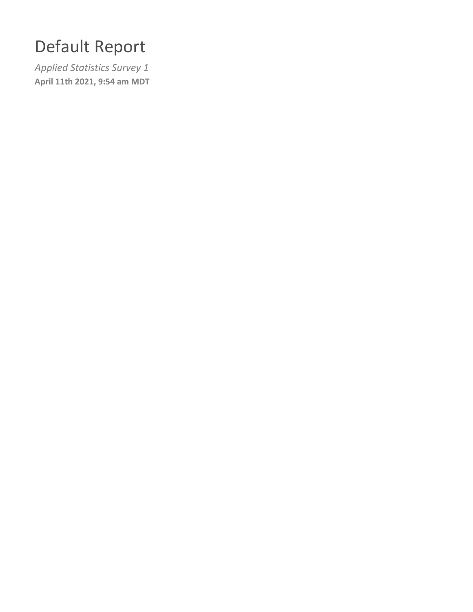## Default Report

*Applied Statistics Survey 1* **April 11th 2021, 9:54 am MDT**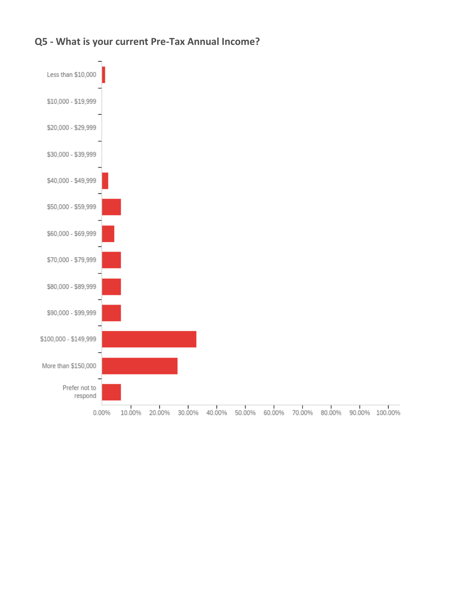

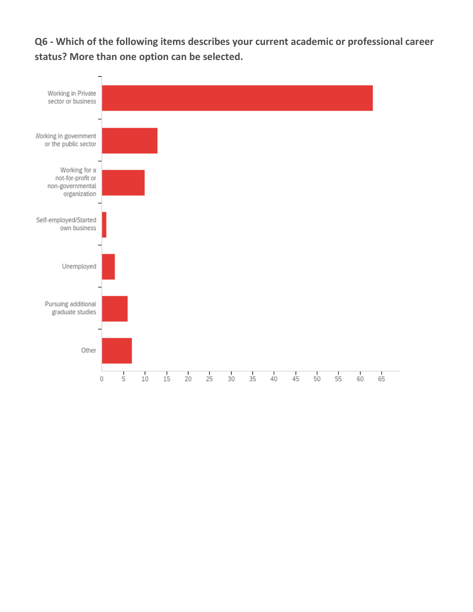**Q6 - Which of the following items describes your current academic or professional career status? More than one option can be selected.**

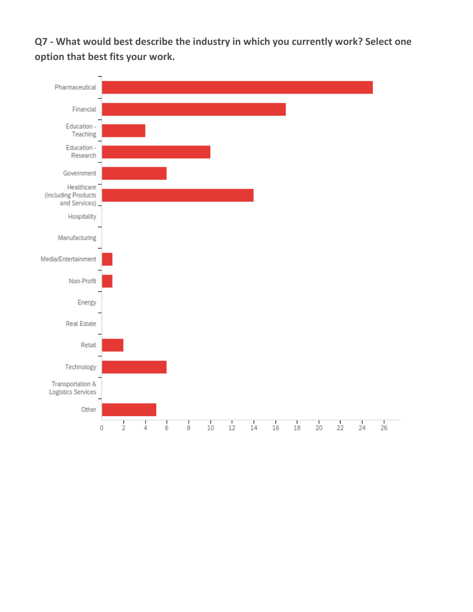**Q7 - What would best describe the industry in which you currently work? Select one option that best fits your work.**

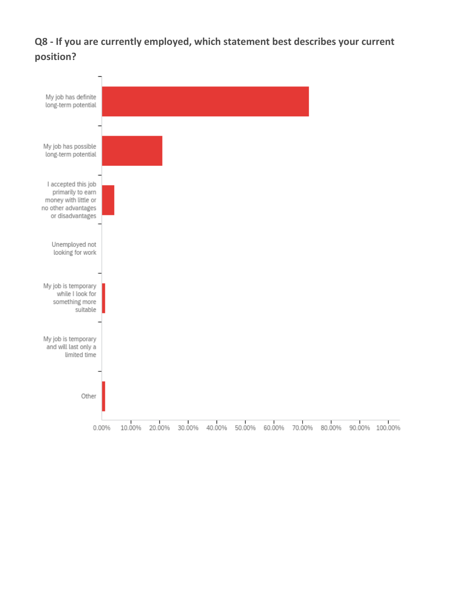**Q8 - If you are currently employed, which statement best describes your current position?**

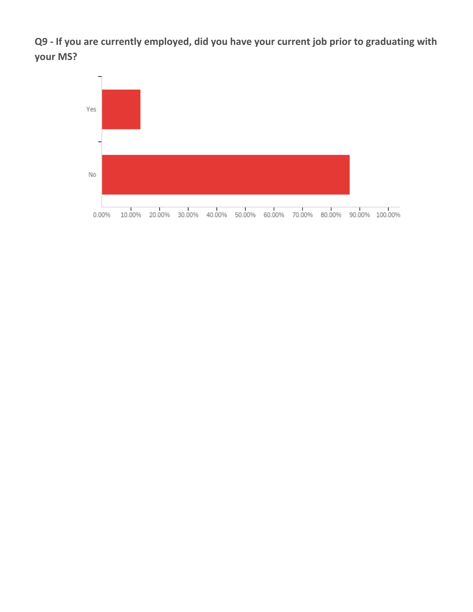**Q9 - If you are currently employed, did you have your current job prior to graduating with your MS?**

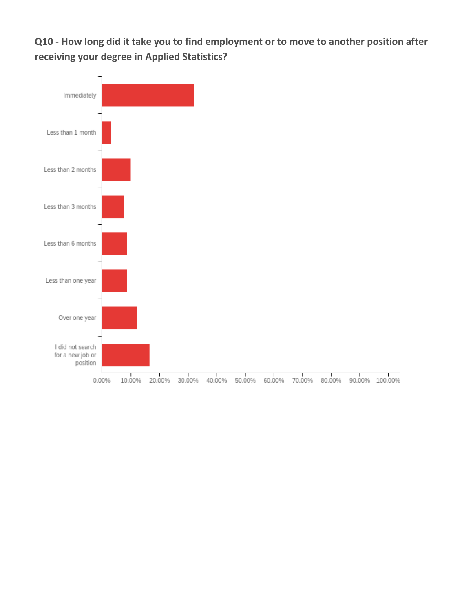**Q10 - How long did it take you to find employment or to move to another position after receiving your degree in Applied Statistics?**

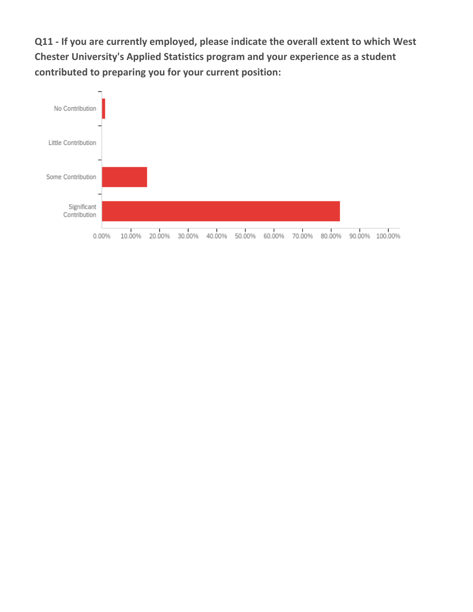**Q11 - If you are currently employed, please indicate the overall extent to which West Chester University's Applied Statistics program and your experience as a student contributed to preparing you for your current position:**

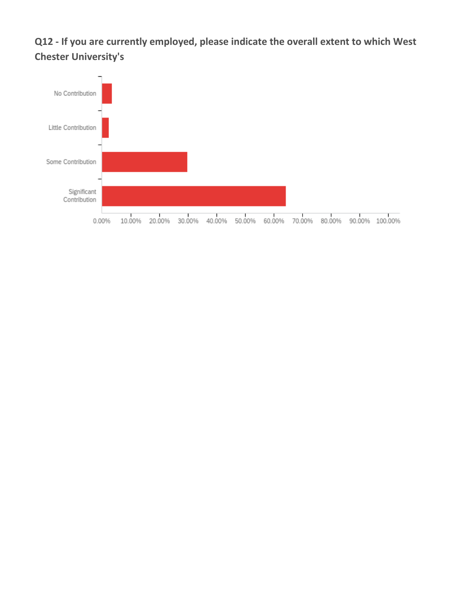**Q12 - If you are currently employed, please indicate the overall extent to which West Chester University's**

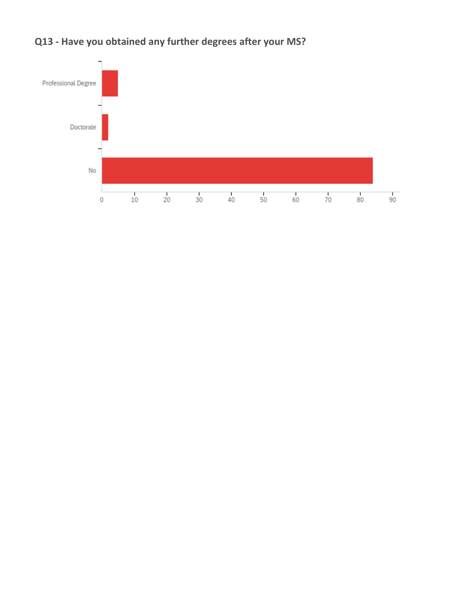

**Q13 - Have you obtained any further degrees after your MS?**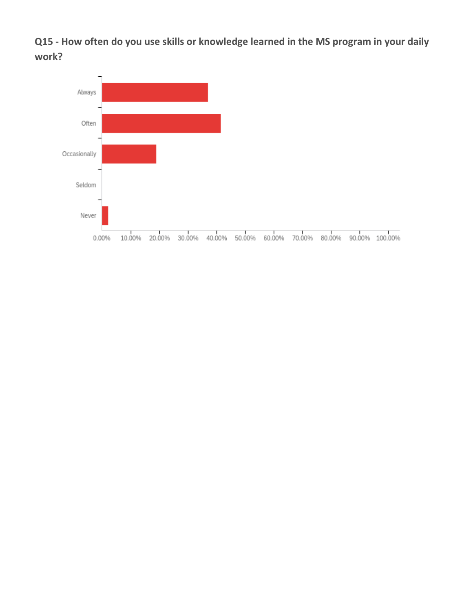**Q15 - How often do you use skills or knowledge learned in the MS program in your daily work?**

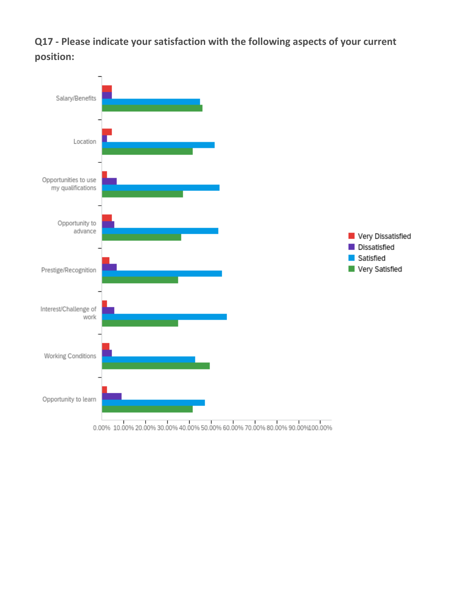**Q17 - Please indicate your satisfaction with the following aspects of your current position:**



 $0.00\% \,\, 10.00\% \,\, 20.00\% \,\, 30.00\% \,\, 40.00\% \,\, 50.00\% \,\, 60.00\% \,\, 70.00\% \,\, 80.00\% \,\, 90.00\% \,\, 10.00\% \,\, 10.00\%$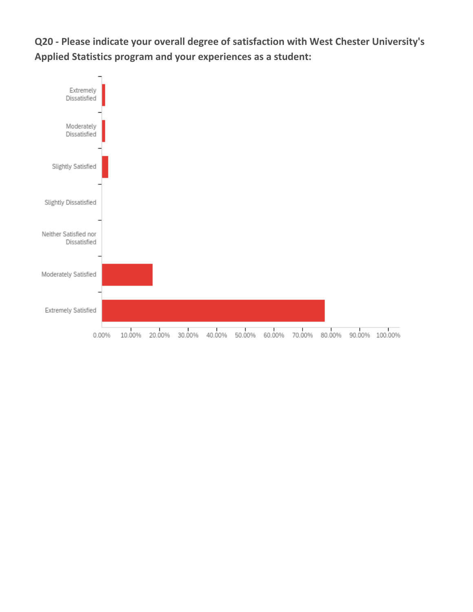**Q20 - Please indicate your overall degree of satisfaction with West Chester University's Applied Statistics program and your experiences as a student:**

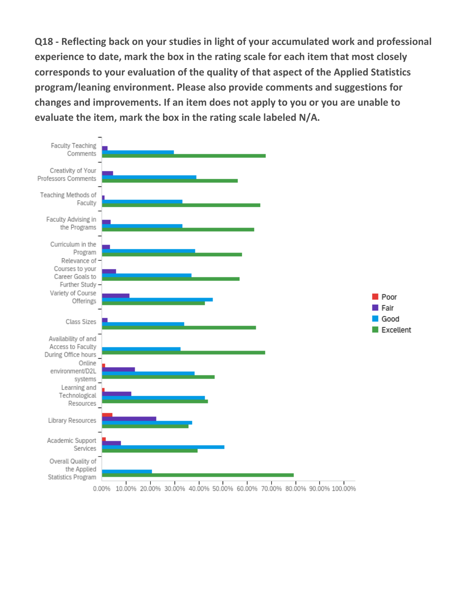**Q18 - Reflecting back on your studies in light of your accumulated work and professional experience to date, mark the box in the rating scale for each item that most closely corresponds to your evaluation of the quality of that aspect of the Applied Statistics program/leaning environment. Please also provide comments and suggestions for changes and improvements. If an item does not apply to you or you are unable to evaluate the item, mark the box in the rating scale labeled N/A.**

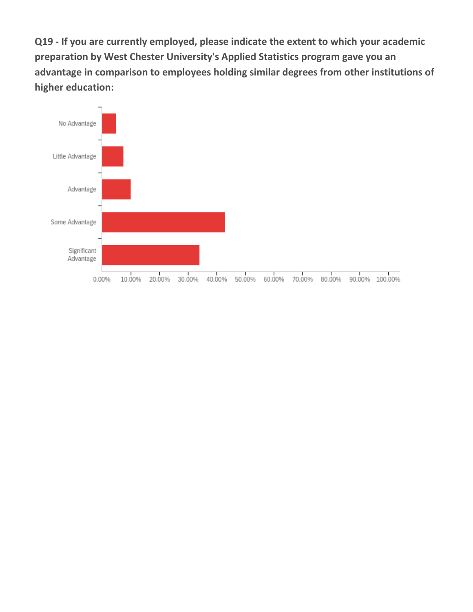**Q19 - If you are currently employed, please indicate the extent to which your academic preparation by West Chester University's Applied Statistics program gave you an advantage in comparison to employees holding similar degrees from other institutions of higher education:**

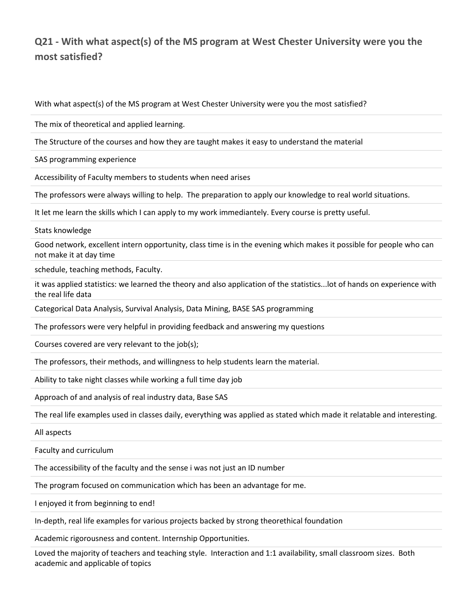## **Q21 - With what aspect(s) of the MS program at West Chester University were you the most satisfied?**

With what aspect(s) of the MS program at West Chester University were you the most satisfied?

The mix of theoretical and applied learning.

The Structure of the courses and how they are taught makes it easy to understand the material

SAS programming experience

Accessibility of Faculty members to students when need arises

The professors were always willing to help. The preparation to apply our knowledge to real world situations.

It let me learn the skills which I can apply to my work immediantely. Every course is pretty useful.

Stats knowledge

Good network, excellent intern opportunity, class time is in the evening which makes it possible for people who can not make it at day time

schedule, teaching methods, Faculty.

it was applied statistics: we learned the theory and also application of the statistics...lot of hands on experience with the real life data

Categorical Data Analysis, Survival Analysis, Data Mining, BASE SAS programming

The professors were very helpful in providing feedback and answering my questions

Courses covered are very relevant to the job(s);

The professors, their methods, and willingness to help students learn the material.

Ability to take night classes while working a full time day job

Approach of and analysis of real industry data, Base SAS

The real life examples used in classes daily, everything was applied as stated which made it relatable and interesting.

All aspects

Faculty and curriculum

The accessibility of the faculty and the sense i was not just an ID number

The program focused on communication which has been an advantage for me.

I enjoyed it from beginning to end!

In-depth, real life examples for various projects backed by strong theorethical foundation

Academic rigorousness and content. Internship Opportunities.

Loved the majority of teachers and teaching style. Interaction and 1:1 availability, small classroom sizes. Both academic and applicable of topics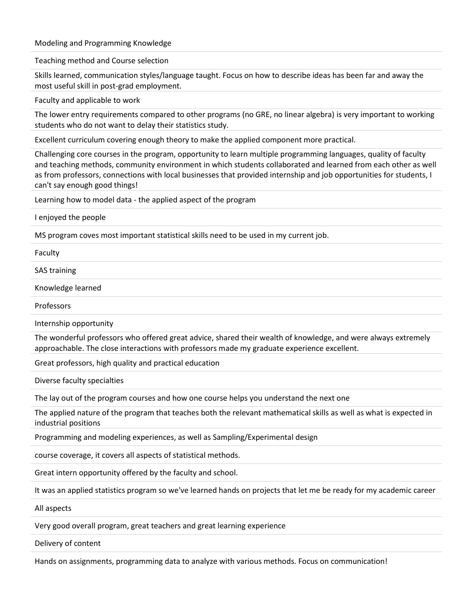Modeling and Programming Knowledge

Teaching method and Course selection

Skills learned, communication styles/language taught. Focus on how to describe ideas has been far and away the most useful skill in post-grad employment.

Faculty and applicable to work

The lower entry requirements compared to other programs (no GRE, no linear algebra) is very important to working students who do not want to delay their statistics study.

Excellent curriculum covering enough theory to make the applied component more practical.

Challenging core courses in the program, opportunity to learn multiple programming languages, quality of faculty and teaching methods, community environment in which students collaborated and learned from each other as well as from professors, connections with local businesses that provided internship and job opportunities for students, I can't say enough good things!

Learning how to model data - the applied aspect of the program

I enjoyed the people

MS program coves most important statistical skills need to be used in my current job.

Faculty

SAS training

Knowledge learned

Professors

Internship opportunity

The wonderful professors who offered great advice, shared their wealth of knowledge, and were always extremely approachable. The close interactions with professors made my graduate experience excellent.

Great professors, high quality and practical education

Diverse faculty specialties

The lay out of the program courses and how one course helps you understand the next one

The applied nature of the program that teaches both the relevant mathematical skills as well as what is expected in industrial positions

Programming and modeling experiences, as well as Sampling/Experimental design

course coverage, it covers all aspects of statistical methods.

Great intern opportunity offered by the faculty and school.

It was an applied statistics program so we've learned hands on projects that let me be ready for my academic career

All aspects

Very good overall program, great teachers and great learning experience

Delivery of content

Hands on assignments, programming data to analyze with various methods. Focus on communication!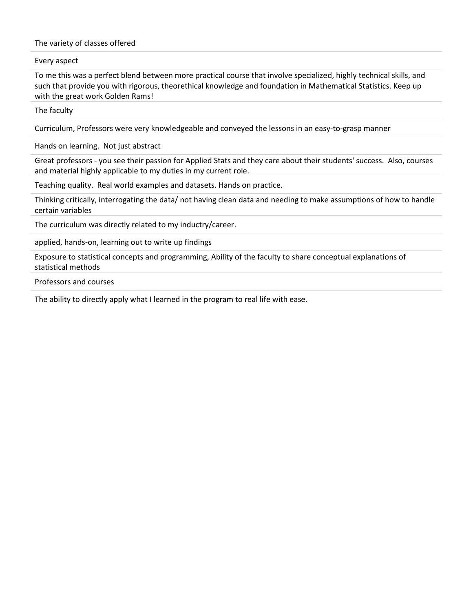The variety of classes offered

Every aspect

To me this was a perfect blend between more practical course that involve specialized, highly technical skills, and such that provide you with rigorous, theorethical knowledge and foundation in Mathematical Statistics. Keep up with the great work Golden Rams!

The faculty

Curriculum, Professors were very knowledgeable and conveyed the lessons in an easy-to-grasp manner

Hands on learning. Not just abstract

Great professors - you see their passion for Applied Stats and they care about their students' success. Also, courses and material highly applicable to my duties in my current role.

Teaching quality. Real world examples and datasets. Hands on practice.

Thinking critically, interrogating the data/ not having clean data and needing to make assumptions of how to handle certain variables

The curriculum was directly related to my inductry/career.

applied, hands-on, learning out to write up findings

Exposure to statistical concepts and programming, Ability of the faculty to share conceptual explanations of statistical methods

Professors and courses

The ability to directly apply what I learned in the program to real life with ease.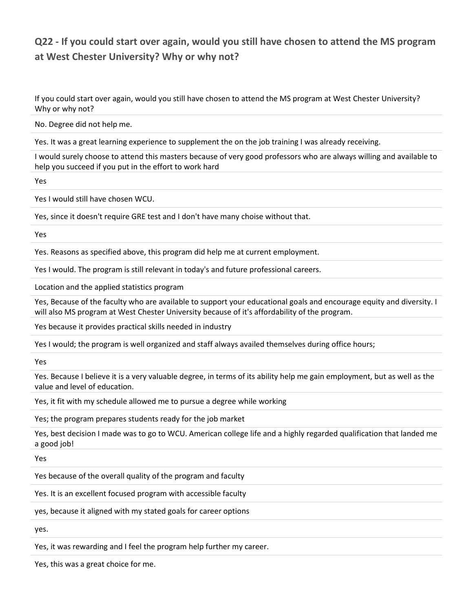## **Q22 - If you could start over again, would you still have chosen to attend the MS program at West Chester University? Why or why not?**

If you could start over again, would you still have chosen to attend the MS program at West Chester University? Why or why not?

No. Degree did not help me.

Yes. It was a great learning experience to supplement the on the job training I was already receiving.

I would surely choose to attend this masters because of very good professors who are always willing and available to help you succeed if you put in the effort to work hard

Yes

Yes I would still have chosen WCU.

Yes, since it doesn't require GRE test and I don't have many choise without that.

Yes

Yes. Reasons as specified above, this program did help me at current employment.

Yes I would. The program is still relevant in today's and future professional careers.

Location and the applied statistics program

Yes, Because of the faculty who are available to support your educational goals and encourage equity and diversity. I will also MS program at West Chester University because of it's affordability of the program.

Yes because it provides practical skills needed in industry

Yes I would; the program is well organized and staff always availed themselves during office hours;

Yes

Yes. Because I believe it is a very valuable degree, in terms of its ability help me gain employment, but as well as the value and level of education.

Yes, it fit with my schedule allowed me to pursue a degree while working

Yes; the program prepares students ready for the job market

Yes, best decision I made was to go to WCU. American college life and a highly regarded qualification that landed me a good job!

Yes

Yes because of the overall quality of the program and faculty

Yes. It is an excellent focused program with accessible faculty

yes, because it aligned with my stated goals for career options

yes.

Yes, it was rewarding and I feel the program help further my career.

Yes, this was a great choice for me.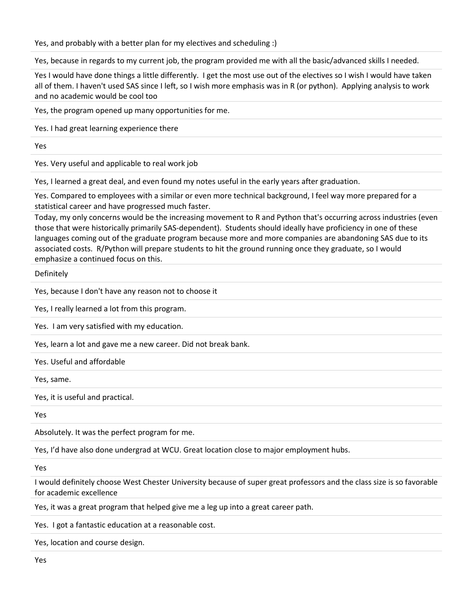Yes, and probably with a better plan for my electives and scheduling :)

Yes, because in regards to my current job, the program provided me with all the basic/advanced skills I needed.

Yes I would have done things a little differently. I get the most use out of the electives so I wish I would have taken all of them. I haven't used SAS since I left, so I wish more emphasis was in R (or python). Applying analysis to work and no academic would be cool too

Yes, the program opened up many opportunities for me.

Yes. I had great learning experience there

Yes

Yes. Very useful and applicable to real work job

Yes, I learned a great deal, and even found my notes useful in the early years after graduation.

Yes. Compared to employees with a similar or even more technical background, I feel way more prepared for a statistical career and have progressed much faster.

Today, my only concerns would be the increasing movement to R and Python that's occurring across industries (even those that were historically primarily SAS-dependent). Students should ideally have proficiency in one of these languages coming out of the graduate program because more and more companies are abandoning SAS due to its associated costs. R/Python will prepare students to hit the ground running once they graduate, so I would emphasize a continued focus on this.

Definitely

Yes, because I don't have any reason not to choose it

Yes, I really learned a lot from this program.

Yes. I am very satisfied with my education.

Yes, learn a lot and gave me a new career. Did not break bank.

Yes. Useful and affordable

Yes, same.

Yes, it is useful and practical.

Yes

Absolutely. It was the perfect program for me.

Yes, I'd have also done undergrad at WCU. Great location close to major employment hubs.

Yes

I would definitely choose West Chester University because of super great professors and the class size is so favorable for academic excellence

Yes, it was a great program that helped give me a leg up into a great career path.

Yes. I got a fantastic education at a reasonable cost.

Yes, location and course design.